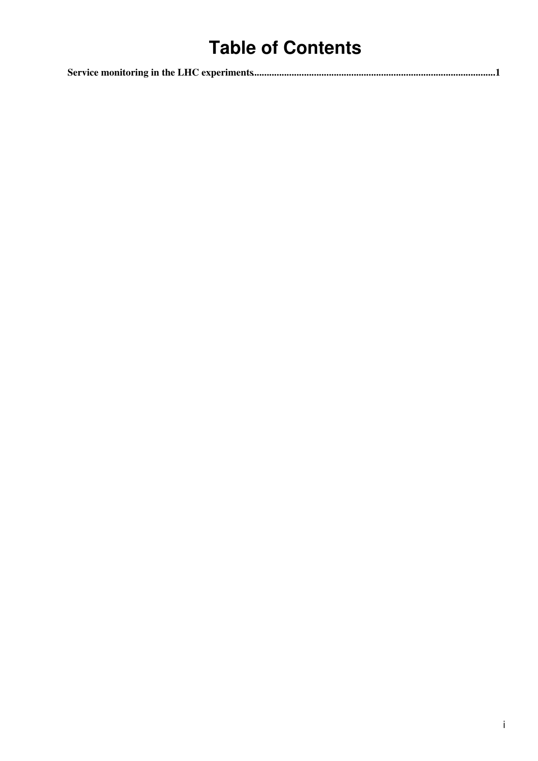## **Table of Contents**